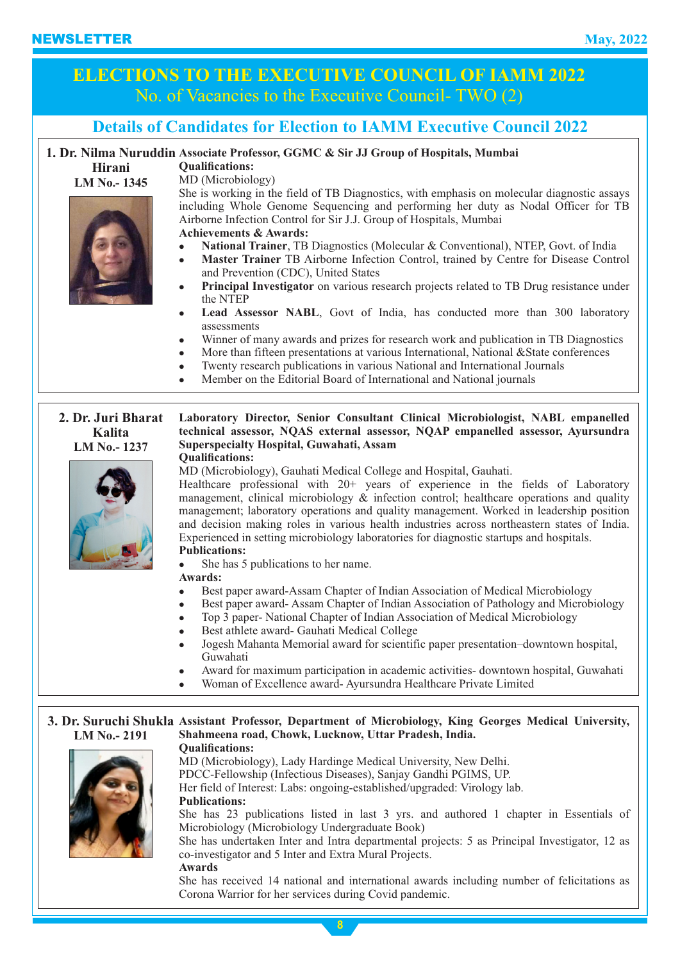# **ELECTIONS TO THE EXECUTIVE COUNCIL OF IAMM 2022** No. of Vacancies to the Executive Council- TWO (2)

## **Details of Candidates for Election to IAMM Executive Council 2022**

### **1. Dr. Nilma Nuruddin Associate Professor, GGMC & Sir JJ Group of Hospitals, Mumbai**

**Hirani LM No.- 1345**



**Qualifications:** MD (Microbiology)

**Achievements & Awards:** She is working in the field of TB Diagnostics, with emphasis on molecular diagnostic assays including Whole Genome Sequencing and performing her duty as Nodal Officer for TB Airborne Infection Control for Sir J.J. Group of Hospitals, Mumbai

- <sup>l</sup> **National Trainer**, TB Diagnostics (Molecular & Conventional), NTEP, Govt. of India
- <sup>l</sup> **Master Trainer** TB Airborne Infection Control, trained by Centre for Disease Control and Prevention (CDC), United States
- <sup>l</sup> **Principal Investigator** on various research projects related to TB Drug resistance under the NTEP
- <sup>l</sup> **Lead Assessor NABL**, Govt of India, has conducted more than 300 laboratory assessments
- <sup>l</sup> Winner of many awards and prizes for research work and publication in TB Diagnostics
- More than fifteen presentations at various International, National &State conferences
	- Twenty research publications in various National and International Journals
	- <sup>l</sup> Member on the Editorial Board of International and National journals

**2. Dr. Juri Bharat Kalita LM No.- 1237 Laboratory Director, Senior Consultant Clinical Microbiologist, NABL empanelled technical assessor, NQAS external assessor, NQAP empanelled assessor, Ayursundra Superspecialty Hospital, Guwahati, Assam Qualifications:**



MD (Microbiology), Gauhati Medical College and Hospital, Gauhati.

Healthcare professional with 20+ years of experience in the fields of Laboratory management, clinical microbiology & infection control; healthcare operations and quality management; laboratory operations and quality management. Worked in leadership position and decision making roles in various health industries across northeastern states of India. Experienced in setting microbiology laboratories for diagnostic startups and hospitals.

#### **Publications:**

She has 5 publications to her name.

- **Awards:**
- Best paper award-Assam Chapter of Indian Association of Medical Microbiology
- Best paper award- Assam Chapter of Indian Association of Pathology and Microbiology
- Top 3 paper- National Chapter of Indian Association of Medical Microbiology
- <sup>l</sup> Best athlete award- Gauhati Medical College
- <sup>l</sup> Jogesh Mahanta Memorial award for scientific paper presentation–downtown hospital, Guwahati
- <sup>l</sup> Award for maximum participation in academic activities- downtown hospital, Guwahati
- <sup>l</sup> Woman of Excellence award- Ayursundra Healthcare Private Limited

#### **3. Dr. Suruchi Shukla Assistant Professor, Department of Microbiology, King Georges Medical University, LM No.- 2191 Shahmeena road, Chowk, Lucknow, Uttar Pradesh, India. Qualifications:**



**Publications:** MD (Microbiology), Lady Hardinge Medical University, New Delhi. PDCC-Fellowship (Infectious Diseases), Sanjay Gandhi PGIMS, UP. Her field of Interest: Labs: ongoing-established/upgraded: Virology lab. She has 23 publications listed in last 3 yrs. and authored 1 chapter in Essentials of Microbiology (Microbiology Undergraduate Book) She has undertaken Inter and Intra departmental projects: 5 as Principal Investigator, 12 as co-investigator and 5 Inter and Extra Mural Projects. **Awards** She has received 14 national and international awards including number of felicitations as Corona Warrior for her services during Covid pandemic.